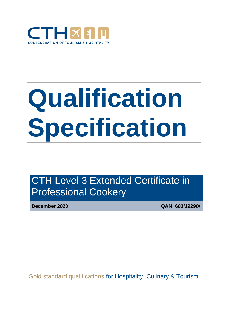

# **Qualification Specification**

CTH Level 3 Extended Certificate in Professional Cookery

**December 2020 QAN: 603/1929/X**

Gold standard qualifications for Hospitality, Culinary & Tourism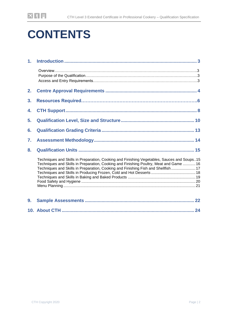# **CONTENTS**

| 1. |                                                                                                                                                                                                                                                                           |
|----|---------------------------------------------------------------------------------------------------------------------------------------------------------------------------------------------------------------------------------------------------------------------------|
|    |                                                                                                                                                                                                                                                                           |
| 2. |                                                                                                                                                                                                                                                                           |
| 3. |                                                                                                                                                                                                                                                                           |
| 4. |                                                                                                                                                                                                                                                                           |
| 5. |                                                                                                                                                                                                                                                                           |
| 6. |                                                                                                                                                                                                                                                                           |
| 7. |                                                                                                                                                                                                                                                                           |
| 8. |                                                                                                                                                                                                                                                                           |
|    | Techniques and Skills in Preparation, Cooking and Finishing Vegetables, Sauces and Soups15<br>Techniques and Skills in Preparation, Cooking and Finishing Poultry, Meat and Game  16<br>Techniques and Skills in Preparation, Cooking and Finishing Fish and Shellfish 17 |
| 9. |                                                                                                                                                                                                                                                                           |
|    |                                                                                                                                                                                                                                                                           |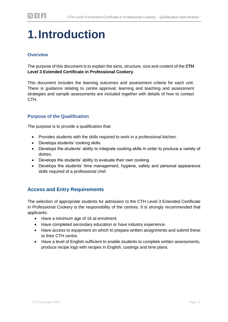# <span id="page-2-0"></span>**1.Introduction**

### **Overview**

The purpose of this document is to explain the aims, structure, size and content of the **CTH Level 3 Extended Certificate in Professional Cookery**.

This document includes the learning outcomes and assessment criteria for each unit. There is guidance relating to centre approval, learning and teaching and assessment strategies and sample assessments are included together with details of how to contact CTH.

#### **Purpose of the Qualification**

The purpose is to provide a qualification that:

- Provides students with the skills required to work in a professional kitchen.
- Develops students' cooking skills.
- Develops the students' ability to integrate cooking skills in order to produce a variety of dishes.
- Develops the students' ability to evaluate their own cooking.
- Develops the students' time management, hygiene, safety and personal appearance skills required of a professional chef.

### **Access and Entry Requirements**

The selection of appropriate students for admission to the CTH Level 3 Extended Certificate in Professional Cookery is the responsibility of the centres. It is strongly recommended that applicants:

- Have a minimum age of 16 at enrolment.
- Have completed secondary education or have industry experience.
- Have access to equipment on which to prepare written assignments and submit these to their CTH centre.
- Have a level of English sufficient to enable students to complete written assessments, produce recipe logs with recipes in English, costings and time plans.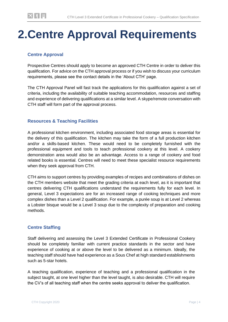# <span id="page-3-0"></span>**2.Centre Approval Requirements**

### **Centre Approval**

Prospective Centres should apply to become an approved CTH Centre in order to deliver this qualification. For advice on the CTH approval process or if you wish to discuss your curriculum requirements, please see the contact details in the 'About CTH' page.

The CTH Approval Panel will fast track the applications for this qualification against a set of criteria, including the availability of suitable teaching accommodation, resources and staffing and experience of delivering qualifications at a similar level. A skype/remote conversation with CTH staff will form part of the approval process.

#### **Resources & Teaching Facilities**

A professional kitchen environment, including associated food storage areas is essential for the delivery of this qualification. The kitchen may take the form of a full production kitchen and/or a skills-based kitchen. These would need to be completely furnished with the professional equipment and tools to teach professional cookery at this level. A cookery demonstration area would also be an advantage. Access to a range of cookery and food related books is essential. Centres will need to meet these specialist resource requirements when they seek approval from CTH.

CTH aims to support centres by providing examples of recipes and combinations of dishes on the CTH members website that meet the grading criteria at each level, as it is important that centres delivering CTH qualifications understand the requirements fully for each level. In general, Level 3 expectations are for an increased range of cooking techniques and more complex dishes than a Level 2 qualification. For example, a purée soup is at Level 2 whereas a Lobster bisque would be a Level 3 soup due to the complexity of preparation and cooking methods.

### **Centre Staffing**

Staff delivering and assessing the Level 3 Extended Certificate in Professional Cookery should be completely familiar with current practice standards in the sector and have experience of cooking at or above the level to be delivered as a minimum. Ideally, the teaching staff should have had experience as a Sous Chef at high standard establishments such as 5-star hotels.

A teaching qualification, experience of teaching and a professional qualification in the subject taught, at one level higher than the level taught, is also desirable. CTH will require the CV's of all teaching staff when the centre seeks approval to deliver the qualification.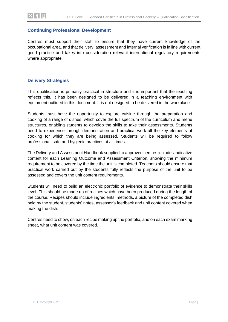#### **Continuing Professional Development**

Centres must support their staff to ensure that they have current knowledge of the occupational area, and that delivery, assessment and internal verification is in line with current good practice and takes into consideration relevant international regulatory requirements where appropriate.

#### **Delivery Strategies**

This qualification is primarily practical in structure and it is important that the teaching reflects this. It has been designed to be delivered in a teaching environment with equipment outlined in this document. It is not designed to be delivered in the workplace.

Students must have the opportunity to explore cuisine through the preparation and cooking of a range of dishes, which cover the full spectrum of the curriculum and menu structures, enabling students to develop the skills to take their assessments. Students need to experience through demonstration and practical work all the key elements of cooking for which they are being assessed. Students will be required to follow professional, safe and hygienic practices at all times.

The Delivery and Assessment Handbook supplied to approved centres includes indicative content for each Learning Outcome and Assessment Criterion, showing the minimum requirement to be covered by the time the unit is completed. Teachers should ensure that practical work carried out by the students fully reflects the purpose of the unit to be assessed and covers the unit content requirements.

Students will need to build an electronic portfolio of evidence to demonstrate their skills level. This should be made up of recipes which have been produced during the length of the course. Recipes should include ingredients, methods, a picture of the completed dish held by the student, students' notes, assessor's feedback and unit content covered when making the dish.

Centres need to show, on each recipe making up the portfolio, and on each exam marking sheet, what unit content was covered.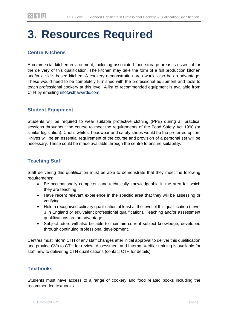# <span id="page-5-0"></span>**3. Resources Required**

### **Centre Kitchens**

A commercial kitchen environment, including associated food storage areas is essential for the delivery of this qualification. The kitchen may take the form of a full production kitchen and/or a skills-based kitchen. A cookery demonstration area would also be an advantage. These would need to be completely furnished with the professional equipment and tools to teach professional cookery at this level. A list of recommended equipment is available from CTH by emailing info@cthawards.com.

### **Student Equipment**

Students will be required to wear suitable protective clothing (PPE) during all practical sessions throughout the course to meet the requirements of the Food Safety Act 1990 (or similar legislation). Chef's whites, headwear and safety shoes would be the preferred option. Knives will be an essential requirement of the course and provision of a personal set will be necessary. These could be made available through the centre to ensure suitability.

### **Teaching Staff**

Staff delivering this qualification must be able to demonstrate that they meet the following requirements:

- Be occupationally competent and technically knowledgeable in the area for which they are teaching
- Have recent relevant experience in the specific area that they will be assessing or verifying
- Hold a recognised culinary qualification at least at the level of this qualification (Level 3 in England or equivalent professional qualification). Teaching and/or assessment qualifications are an advantage
- Subject tutors will also be able to maintain current subject knowledge, developed through continuing professional development.

Centres must inform CTH of any staff changes after initial approval to deliver this qualification and provide CVs to CTH for review. Assessment and Internal Verifier training is available for staff new to delivering CTH qualifications (contact CTH for details).

### **Textbooks**

Students must have access to a range of cookery and food related books including the recommended textbooks.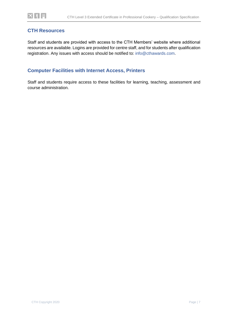### **CTH Resources**

Staff and students are provided with access to the CTH Members' website where additional resources are available. Logins are provided for centre staff, and for students after qualification registration. Any issues with access should be notified to: info@cthawards.com.

### **Computer Facilities with Internet Access, Printers**

Staff and students require access to these facilities for learning, teaching, assessment and course administration.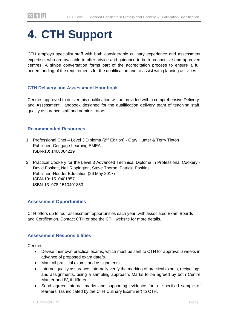# **4. CTH Support**

CTH employs specialist staff with both considerable culinary experience and assessment expertise, who are available to offer advice and guidance to both prospective and approved centres. A skype conversation forms part of the accreditation process to ensure a full understanding of the requirements for the qualification and to assist with planning activities.

#### **CTH Delivery and Assessment Handbook**

Centres approved to deliver this qualification will be provided with a comprehensive Delivery and Assessment Handbook designed for the qualification delivery team of teaching staff, quality assurance staff and administrators.

#### **Recommended Resources**

- 1. Professional Chef Level 3 Diploma (2<sup>nd</sup> Edition) Gary Hunter & Terry Tinton Publisher: Cengage Learning EMEA ISBN-10: 1408064219
- 2. Practical Cookery for the Level 3 Advanced Technical Diploma in Professional Cookery David Foskett, Neil Rippington, Steve Thorpe, Patricia Paskins Publisher: Hodder Education (26 May 2017) ISBN-10: 1510401857 ISBN-13: 978-1510401853

#### **Assessment Opportunities**

CTH offers up to four assessment opportunities each year, with associated Exam Boards and Certification. Contact CTH or see the CTH website for more details.

#### **Assessment Responsibilities**

Centres:

- Devise their own practical exams, which must be sent to CTH for approval 6 weeks in advance of proposed exam date/s.
- Mark all practical exams and assignments.
- Internal quality assurance: internally verify the marking of practical exams, recipe logs and assignments, using a sampling approach. Marks to be agreed by both Centre Marker and IV, if different.
- Send agreed internal marks and supporting evidence for a specified sample of learners (as indicated by the CTH Culinary Examiner) to CTH.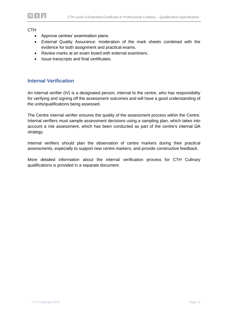#### **CTH**

- Approve centres' examination plans.
- External Quality Assurance: moderation of the mark sheets combined with the evidence for both assignment and practical exams.
- Review marks at an exam board with external examiners.
- Issue transcripts and final certificates.

#### **Internal Verification**

An internal verifier (IV) is a designated person, internal to the centre, who has responsibility for verifying and signing off the assessment outcomes and will have a good understanding of the units/qualifications being assessed.

The Centre internal verifier ensures the quality of the assessment process within the Centre. Internal verifiers must sample assessment decisions using a sampling plan, which takes into account a risk assessment, which has been conducted as part of the centre's internal QA strategy.

Internal verifiers should plan the observation of centre markers during their practical assessments, especially to support new centre markers, and provide constructive feedback.

More detailed information about the internal verification process for CTH Culinary qualifications is provided in a separate document.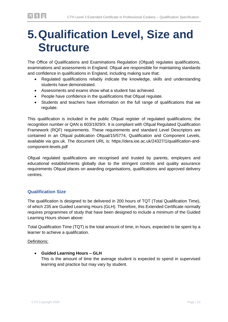# <span id="page-9-0"></span>**5.Qualification Level, Size and Structure**

The Office of Qualifications and Examinations Regulation (Ofqual) regulates qualifications, examinations and assessments in England. Ofqual are responsible for maintaining standards and confidence in qualifications in England, including making sure that:

- Regulated qualifications reliably indicate the knowledge, skills and understanding students have demonstrated.
- Assessments and exams show what a student has achieved.
- People have confidence in the qualifications that Ofqual regulate.
- Students and teachers have information on the full range of qualifications that we regulate.

This qualification is included in the public Ofqual register of regulated qualifications; the recognition number or QAN is 603/1929/X. It is compliant with Ofqual Regulated Qualification Framework (RQF) requirements. These requirements and standard Level Descriptors are contained in an Ofqual publication Ofqual/15/5774, Qualification and Component Levels, available via gov.uk. The document URL is: https://dera.ioe.ac.uk/24327/1/qualification-andcomponent-levels.pdf

Ofqual regulated qualifications are recognised and trusted by parents, employers and educational establishments globally due to the stringent controls and quality assurance requirements Ofqual places on awarding organisations, qualifications and approved delivery centres.

### **Qualification Size**

The qualification is designed to be delivered in 200 hours of TQT (Total Qualification Time), of which 235 are Guided Learning Hours (GLH). Therefore, this Extended Certificate normally requires programmes of study that have been designed to include a minimum of the Guided Learning Hours shown above:

Total Qualification Time (TQT) is the total amount of time, in hours, expected to be spent by a learner to achieve a qualification.

Definitions:

• **Guided Learning Hours – GLH**  This is the amount of time the average student is expected to spend in supervised learning and practice but may vary by student.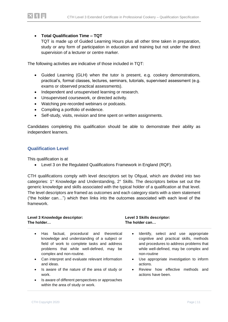#### • **Total Qualification Time – TQT**

TQT is made up of Guided Learning Hours plus all other time taken in preparation, study or any form of participation in education and training but not under the direct supervision of a lecturer or centre marker.

The following activities are indicative of those included in TQT:

- Guided Learning (GLH) when the tutor is present, e.g. cookery demonstrations, practical's, formal classes, lectures, seminars, tutorials, supervised assessment (e.g. exams or observed practical assessments).
- Independent and unsupervised learning or research.
- Unsupervised coursework, or directed activity.
- Watching pre-recorded webinars or podcasts.
- Compiling a portfolio of evidence.
- Self-study, visits, revision and time spent on written assignments.

Candidates completing this qualification should be able to demonstrate their ability as independent learners.

#### **Qualification Level**

This qualification is at

• Level 3 on the Regulated Qualifications Framework in England (RQF).

CTH qualifications comply with level descriptors set by Ofqual, which are divided into two categories: 1° Knowledge and Understanding, 2° Skills. The descriptors below set out the generic knowledge and skills associated with the typical holder of a qualification at that level. The level descriptors are framed as outcomes and each category starts with a stem statement ("the holder can…") which then links into the outcomes associated with each level of the framework.

| Level 3 Knowledge descriptor:<br>The holder                                                                                                                                                                                      | Level 3 Skills descriptor:<br>The holder can                                                                                                                                                     |  |  |
|----------------------------------------------------------------------------------------------------------------------------------------------------------------------------------------------------------------------------------|--------------------------------------------------------------------------------------------------------------------------------------------------------------------------------------------------|--|--|
| factual, procedural and theoretical<br>Has<br>$\bullet$<br>knowledge and understanding of a subject or<br>field of work to complete tasks and address<br>problems that while well-defined,<br>may be<br>complex and non-routine. | Identify, select and use appropriate<br>$\bullet$<br>cognitive and practical skills, methods<br>and procedures to address problems that<br>while well-defined, may be complex and<br>non-routine |  |  |
| Can interpret and evaluate relevant information<br>$\bullet$<br>and ideas.                                                                                                                                                       | Use appropriate investigation to inform<br>$\bullet$<br>actions.                                                                                                                                 |  |  |
| Is aware of the nature of the area of study or<br>$\bullet$<br>work.                                                                                                                                                             | Review how effective methods<br>and<br>$\bullet$<br>actions have been.                                                                                                                           |  |  |
| Is aware of different perspectives or approaches<br>$\bullet$                                                                                                                                                                    |                                                                                                                                                                                                  |  |  |

within the area of study or work.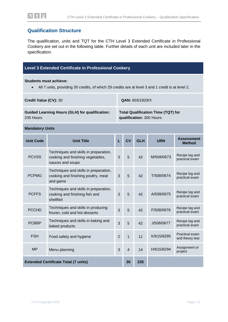### **Qualification Structure**

The qualification, units and TQT for the CTH Level 3 Extended Certificate in Professional Cookery are set out in the following table. Further details of each unit are included later in the specification.

#### **Level 3 Extended Certificate in Professional Cookery**

**Students must achieve:**

• All 7 units, providing 30 credits, of which 29 credits are at level 3 and 1 credit is at level 2.

| <b>Credit Value (CV): 30</b>                          | QAN: 603/1929/X                           |
|-------------------------------------------------------|-------------------------------------------|
| <b>Guided Learning Hours (GLH) for qualification:</b> | <b>Total Qualification Time (TQT) for</b> |
| 235 Hours                                             | qualification: 300 Hours                  |

**Mandatory Units**

| <b>Unit Title</b><br><b>Unit Code</b>       |                                                                                                | L              | CV             | <b>GLH</b> | <b>URN</b> | <b>Assessment</b><br><b>Method</b> |  |
|---------------------------------------------|------------------------------------------------------------------------------------------------|----------------|----------------|------------|------------|------------------------------------|--|
| <b>PCVSS</b>                                | Techniques and skills in preparation,<br>cooking and finishing vegetables,<br>sauces and soups | 3              | 5              | 42         | M/508/0673 | Recipe log and<br>practical exam   |  |
| <b>PCPMG</b>                                | Techniques and skills in preparation,<br>cooking and finishing poultry, meat<br>and game       | 3              | 5              | 42         | T/508/0674 | Recipe log and<br>practical exam   |  |
| <b>PCFFS</b>                                | Techniques and skills in preparation,<br>cooking and finishing fish and<br>shellfish           | 3              | 5              | 42         | A/508/0675 | Recipe log and<br>practical exam   |  |
| <b>PCCHD</b>                                | Techniques and skills in producing<br>frozen, cold and hot desserts                            | 3              | 5              | 42         | F/508/0676 | Recipe log and<br>practical exam   |  |
| <b>PCBBP</b>                                | Techniques and skills in baking and<br>baked products                                          | 3              | 5              | 42         | J/508/0677 | Recipe log and<br>practical exam   |  |
| <b>FSH</b>                                  | Food safety and hygiene                                                                        | $\overline{2}$ | $\mathbf{1}$   | 11         | K/615/8295 | Practical exam<br>and theory test  |  |
| <b>MP</b>                                   | Menu planning                                                                                  | 3              | $\overline{4}$ | 14         | H/615/8294 | Assignment or<br>project           |  |
| <b>Extended Certificate Total (7 units)</b> |                                                                                                |                | 30             | 235        |            |                                    |  |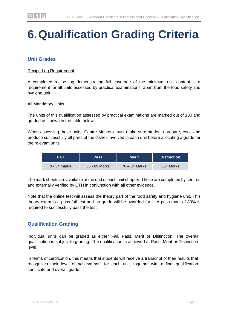# <span id="page-12-0"></span>**6.Qualification Grading Criteria**

### **Unit Grades**

#### Recipe Log Requirement

A completed recipe log demonstrating full coverage of the minimum unit content is a requirement for all units assessed by practical examinations, apart from the food safety and hygiene unit.

#### All Mandatory Units

The units of this qualification assessed by practical examinations are marked out of 100 and graded as shown in the table below.

When assessing these units, Centre Markers must make sure students prepare, cook and produce successfully all parts of the dishes involved in each unit before allocating a grade for the relevant units.

| Fail         | <b>Pass</b>   | Merit           | <b>Distinction</b> |
|--------------|---------------|-----------------|--------------------|
| 0 - 54 marks | 55 - 69 Marks | $70 - 84$ Marks | 85+ Marks          |

The mark sheets are available at the end of each unit chapter. These are completed by centres and externally verified by CTH in conjunction with all other evidence.

Note that the online test will assess the theory part of the food safety and hygiene unit. This theory exam is a pass-fail test and no grade will be awarded for it. A pass mark of 80% is required to successfully pass the test.

### **Qualification Grading**

Individual units can be graded as either Fail, Pass, Merit or Distinction. The overall qualification is subject to grading. The qualification is achieved at Pass, Merit or Distinction level.

In terms of certification, this means that students will receive a transcript of their results that recognises their level of achievement for each unit, together with a final qualification certificate and overall grade.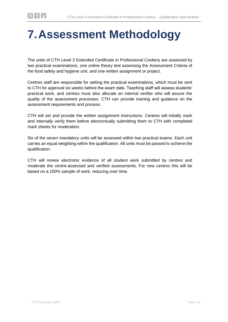# <span id="page-13-0"></span>**7.Assessment Methodology**

The units of CTH Level 3 Extended Certificate in Professional Cookery are assessed by two practical examinations, one online theory test assessing the Assessment Criteria of the food safety and hygiene unit, and one written assignment or project.

Centres staff are responsible for setting the practical examinations, which must be sent to CTH for approval six weeks before the exam date. Teaching staff will assess students' practical work, and centres must also allocate an internal verifier who will assure the quality of the assessment processes. CTH can provide training and guidance on the assessment requirements and process.

CTH will set and provide the written assignment instructions. Centres will initially mark and internally verify them before electronically submitting them to CTH with completed mark sheets for moderation.

Six of the seven mandatory units will be assessed within two practical exams. Each unit carries an equal weighting within the qualification. All units must be passed to achieve the qualification.

CTH will review electronic evidence of all student work submitted by centres and moderate the centre-assessed and verified assessments. For new centres this will be based on a 100% sample of work, reducing over time.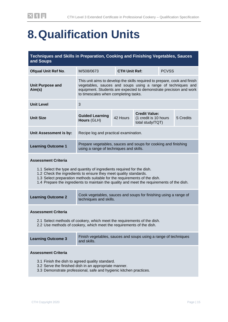# <span id="page-14-0"></span>**8.Qualification Units**

| Techniques and Skills in Preparation, Cooking and Finishing Vegetables, Sauces<br>and Soups |                                                                                                                                                                                                                                                         |                      |              |  |  |  |
|---------------------------------------------------------------------------------------------|---------------------------------------------------------------------------------------------------------------------------------------------------------------------------------------------------------------------------------------------------------|----------------------|--------------|--|--|--|
| <b>Ofqual Unit Ref No.</b>                                                                  | M/508/0673                                                                                                                                                                                                                                              | <b>CTH Unit Ref:</b> | <b>PCVSS</b> |  |  |  |
| <b>Unit Purpose and</b><br>Aim(s)                                                           | This unit aims to develop the skills required to prepare, cook and finish<br>vegetables, sauces and soups using a range of techniques and<br>equipment. Students are expected to demonstrate precision and work<br>to timescales when completing tasks. |                      |              |  |  |  |
| Unit Level                                                                                  | 3                                                                                                                                                                                                                                                       |                      |              |  |  |  |

| <b>Unit Size</b>       | <b>Guided Learning</b><br>Hours (GLH) | 42 Hours | <b>Credit Value:</b><br>(1 credit is 10 hours)<br>total study/TQT) | 5 Credits |
|------------------------|---------------------------------------|----------|--------------------------------------------------------------------|-----------|
| Unit Assessment is by: | Recipe log and practical examination. |          |                                                                    |           |

| <b>Learning Outcome 1</b> | Prepare vegetables, sauces and soups for cooking and finishing<br>using a range of techniques and skills. |
|---------------------------|-----------------------------------------------------------------------------------------------------------|
|---------------------------|-----------------------------------------------------------------------------------------------------------|

#### **Assessment Criteria**

- 1.1 Select the type and quantity of ingredients required for the dish.
- 1.2 Check the ingredients to ensure they meet quality standards.
- 1.3 Select preparation methods suitable for the requirements of the dish.
- 1.4 Prepare the ingredients to maintain the quality and meet the requirements of the dish.

| <b>Learning Outcome 2</b> | Cook vegetables, sauces and soups for finishing using a range of<br>techniques and skills. |
|---------------------------|--------------------------------------------------------------------------------------------|
|                           |                                                                                            |

#### **Assessment Criteria**

- 2.1 Select methods of cookery, which meet the requirements of the dish.
- 2.2 Use methods of cookery, which meet the requirements of the dish.

| <b>Learning Outcome 3</b> | Finish vegetables, sauces and soups using a range of techniques<br>and skills. |
|---------------------------|--------------------------------------------------------------------------------|
|---------------------------|--------------------------------------------------------------------------------|

#### **Assessment Criteria**

- 3.1 Finish the dish to agreed quality standard.
- 3.2 Serve the finished dish in an appropriate manner.
- 3.3 Demonstrate professional, safe and hygienic kitchen practices.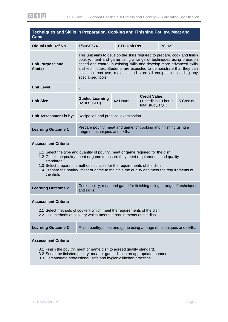<span id="page-15-0"></span>

| Techniques and Skills in Preparation, Cooking and Finishing Poultry, Meat and<br>Game                                                                                                                                                                    |                                                                                                                                                                                                                                                                                                                                                                                             |                                      |                                                                   |  |           |
|----------------------------------------------------------------------------------------------------------------------------------------------------------------------------------------------------------------------------------------------------------|---------------------------------------------------------------------------------------------------------------------------------------------------------------------------------------------------------------------------------------------------------------------------------------------------------------------------------------------------------------------------------------------|--------------------------------------|-------------------------------------------------------------------|--|-----------|
| <b>Ofqual Unit Ref No.</b>                                                                                                                                                                                                                               | T/508/0674                                                                                                                                                                                                                                                                                                                                                                                  | <b>CTH Unit Ref:</b><br><b>PCPMG</b> |                                                                   |  |           |
| <b>Unit Purpose and</b><br>Aim(s)                                                                                                                                                                                                                        | This unit aims to develop the skills required to prepare, cook and finish<br>poultry, meat and game using a range of techniques using precision<br>speed and control in existing skills and develop more advanced skills<br>and techniques. Students are expected to demonstrate that they can<br>select, correct use, maintain and store all equipment including any<br>specialised tools. |                                      |                                                                   |  |           |
| <b>Unit Level</b>                                                                                                                                                                                                                                        | 3                                                                                                                                                                                                                                                                                                                                                                                           |                                      |                                                                   |  |           |
| <b>Unit Size</b>                                                                                                                                                                                                                                         | <b>Guided Learning</b><br>Hours (GLH)                                                                                                                                                                                                                                                                                                                                                       | 42 Hours                             | <b>Credit Value:</b><br>(1 credit is 10 hours<br>total study/TQT) |  | 5 Credits |
| Unit Assessment is by:                                                                                                                                                                                                                                   | Recipe log and practical examination.                                                                                                                                                                                                                                                                                                                                                       |                                      |                                                                   |  |           |
| <b>Learning Outcome 1</b>                                                                                                                                                                                                                                | Prepare poultry, meat and game for cooking and finishing using a<br>range of techniques and skills.                                                                                                                                                                                                                                                                                         |                                      |                                                                   |  |           |
| <b>Assessment Criteria</b><br>standards.<br>the dish.                                                                                                                                                                                                    | 1.1 Select the type and quantity of poultry, meat or game required for the dish.<br>1.2 Check the poultry, meat or game to ensure they meet requirements and quality<br>1.3 Select preparation methods suitable for the requirements of the dish.<br>1.4 Prepare the poultry, meat or game to maintain the quality and meet the requirements of                                             |                                      |                                                                   |  |           |
| <b>Learning Outcome 2</b>                                                                                                                                                                                                                                | Cook poultry, meat and game for finishing using a range of techniques<br>and skills.                                                                                                                                                                                                                                                                                                        |                                      |                                                                   |  |           |
| <b>Assessment Criteria</b><br>2.1 Select methods of cookery which meet the requirements of the dish.<br>2.2 Use methods of cookery which meet the requirements of the dish.                                                                              |                                                                                                                                                                                                                                                                                                                                                                                             |                                      |                                                                   |  |           |
| <b>Learning Outcome 3</b>                                                                                                                                                                                                                                | Finish poultry, meat and game using a range of techniques and skills.                                                                                                                                                                                                                                                                                                                       |                                      |                                                                   |  |           |
| <b>Assessment Criteria</b><br>3.1 Finish the poultry, meat or game dish to agreed quality standard.<br>3.2 Serve the finished poultry, meat or game dish in an appropriate manner.<br>3.3 Demonstrate professional, safe and hygienic kitchen practices. |                                                                                                                                                                                                                                                                                                                                                                                             |                                      |                                                                   |  |           |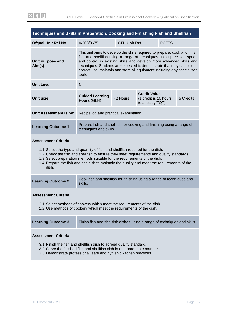<span id="page-16-0"></span>

| Techniques and Skills in Preparation, Cooking and Finishing Fish and Shellfish |                                                                                                                                                                                                                                                                                                                                                                                         |                                      |  |  |  |  |
|--------------------------------------------------------------------------------|-----------------------------------------------------------------------------------------------------------------------------------------------------------------------------------------------------------------------------------------------------------------------------------------------------------------------------------------------------------------------------------------|--------------------------------------|--|--|--|--|
| <b>Ofqual Unit Ref No.</b>                                                     | A/508/0675                                                                                                                                                                                                                                                                                                                                                                              | <b>CTH Unit Ref:</b><br><b>PCFFS</b> |  |  |  |  |
| <b>Unit Purpose and</b><br>Aim(s)                                              | This unit aims to develop the skills required to prepare, cook and finish<br>fish and shellfish using a range of techniques using precision speed<br>and control in existing skills and develop more advanced skills and<br>techniques. Students are expected to demonstrate that they can select,<br>correct use, maintain and store all equipment including any specialised<br>tools. |                                      |  |  |  |  |
| <b>Unit Level</b>                                                              | 3                                                                                                                                                                                                                                                                                                                                                                                       |                                      |  |  |  |  |
| <b>Unit Size</b>                                                               | <b>Credit Value:</b><br><b>Guided Learning</b><br>42 Hours<br>(1 credit is 10 hours)<br>5 Credits<br>Hours (GLH)<br>total study/TQT)                                                                                                                                                                                                                                                    |                                      |  |  |  |  |
| Unit Assessment is by:                                                         | Recipe log and practical examination.                                                                                                                                                                                                                                                                                                                                                   |                                      |  |  |  |  |
| <b>Learning Outcome 1</b>                                                      | Prepare fish and shellfish for cooking and finishing using a range of<br>techniques and skills.                                                                                                                                                                                                                                                                                         |                                      |  |  |  |  |
|                                                                                |                                                                                                                                                                                                                                                                                                                                                                                         |                                      |  |  |  |  |

#### **Assessment Criteria**

- 1.1 Select the type and quantity of fish and shellfish required for the dish.
- 1.2 Check the fish and shellfish to ensure they meet requirements and quality standards.
- 1.3 Select preparation methods suitable for the requirements of the dish.
- 1.4 Prepare the fish and shellfish to maintain the quality and meet the requirements of the dish.

| <b>Learning Outcome 2</b> | Cook fish and shellfish for finishing using a range of techniques and<br>skills. |
|---------------------------|----------------------------------------------------------------------------------|
|---------------------------|----------------------------------------------------------------------------------|

#### **Assessment Criteria**

- 2.1 Select methods of cookery which meet the requirements of the dish.
- 2.2 Use methods of cookery which meet the requirements of the dish.

| <b>Learning Outcome 3</b> | Finish fish and shellfish dishes using a range of techniques and skills. |
|---------------------------|--------------------------------------------------------------------------|
|---------------------------|--------------------------------------------------------------------------|

#### **Assessment Criteria**

- 3.1 Finish the fish and shellfish dish to agreed quality standard.
- 3.2 Serve the finished fish and shellfish dish in an appropriate manner.
- 3.3 Demonstrate professional, safe and hygienic kitchen practices.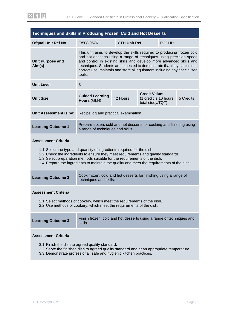<span id="page-17-0"></span>

| Techniques and Skills in Producing Frozen, Cold and Hot Desserts                                                                                                                                                                                                                                                                                                     |                                                                                                                                                                                                                                                                                                                                                                                    |                                                                               |  |              |           |
|----------------------------------------------------------------------------------------------------------------------------------------------------------------------------------------------------------------------------------------------------------------------------------------------------------------------------------------------------------------------|------------------------------------------------------------------------------------------------------------------------------------------------------------------------------------------------------------------------------------------------------------------------------------------------------------------------------------------------------------------------------------|-------------------------------------------------------------------------------|--|--------------|-----------|
| <b>Ofqual Unit Ref No.</b>                                                                                                                                                                                                                                                                                                                                           | F/508/0676                                                                                                                                                                                                                                                                                                                                                                         | <b>CTH Unit Ref:</b>                                                          |  | <b>PCCHD</b> |           |
| <b>Unit Purpose and</b><br>Aim(s)                                                                                                                                                                                                                                                                                                                                    | This unit aims to develop the skills required to producing frozen cold<br>and hot desserts using a range of techniques using precision speed<br>and control in existing skills and develop more advanced skills and<br>techniques. Students are expected to demonstrate that they can select,<br>correct use, maintain and store all equipment including any specialised<br>tools. |                                                                               |  |              |           |
| <b>Unit Level</b>                                                                                                                                                                                                                                                                                                                                                    | 3                                                                                                                                                                                                                                                                                                                                                                                  |                                                                               |  |              |           |
| <b>Unit Size</b>                                                                                                                                                                                                                                                                                                                                                     | <b>Guided Learning</b><br>Hours (GLH)                                                                                                                                                                                                                                                                                                                                              | <b>Credit Value:</b><br>42 Hours<br>(1 credit is 10 hours<br>total study/TQT) |  |              | 5 Credits |
| Unit Assessment is by:                                                                                                                                                                                                                                                                                                                                               |                                                                                                                                                                                                                                                                                                                                                                                    | Recipe log and practical examination.                                         |  |              |           |
| <b>Learning Outcome 1</b>                                                                                                                                                                                                                                                                                                                                            | Prepare frozen, cold and hot desserts for cooking and finishing using<br>a range of techniques and skills.                                                                                                                                                                                                                                                                         |                                                                               |  |              |           |
| <b>Assessment Criteria</b><br>1.1 Select the type and quantity of ingredients required for the dish.<br>1.2 Check the ingredients to ensure they meet requirements and quality standards.<br>1.3 Select preparation methods suitable for the requirements of the dish.<br>1.4 Prepare the ingredients to maintain the quality and meet the requirements of the dish. |                                                                                                                                                                                                                                                                                                                                                                                    |                                                                               |  |              |           |
| <b>Learning Outcome 2</b>                                                                                                                                                                                                                                                                                                                                            | Cook frozen, cold and hot desserts for finishing using a range of<br>techniques and skills.                                                                                                                                                                                                                                                                                        |                                                                               |  |              |           |
| <b>Assessment Criteria</b><br>2.1 Select methods of cookery, which meet the requirements of the dish.<br>2.2 Use methods of cookery, which meet the requirements of the dish.                                                                                                                                                                                        |                                                                                                                                                                                                                                                                                                                                                                                    |                                                                               |  |              |           |
| <b>Learning Outcome 3</b>                                                                                                                                                                                                                                                                                                                                            | Finish frozen, cold and hot desserts using a range of techniques and<br>skills.                                                                                                                                                                                                                                                                                                    |                                                                               |  |              |           |
| <b>Assessment Criteria</b><br>3.1 Finish the dish to agreed quality standard.<br>3.2 Serve the finished dish to agreed quality standard and at an appropriate temperature.                                                                                                                                                                                           |                                                                                                                                                                                                                                                                                                                                                                                    |                                                                               |  |              |           |

3.3 Demonstrate professional, safe and hygienic kitchen practices.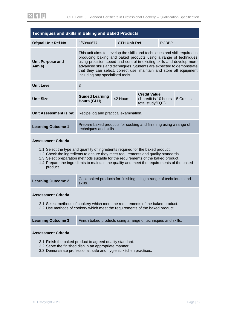<span id="page-18-0"></span>

| <b>Techniques and Skills in Baking and Baked Products</b> |                                                                                                                                                                                                                                                                                                                                                                                                          |                      |                                                                    |              |           |  |
|-----------------------------------------------------------|----------------------------------------------------------------------------------------------------------------------------------------------------------------------------------------------------------------------------------------------------------------------------------------------------------------------------------------------------------------------------------------------------------|----------------------|--------------------------------------------------------------------|--------------|-----------|--|
| <b>Ofqual Unit Ref No.</b>                                | J/508/0677                                                                                                                                                                                                                                                                                                                                                                                               | <b>CTH Unit Ref:</b> |                                                                    | <b>PCBBP</b> |           |  |
| <b>Unit Purpose and</b><br>Aim(s)                         | This unit aims to develop the skills and techniques and skill required in<br>producing baking and baked products using a range of techniques<br>using precision speed and control in existing skills and develop more<br>advanced skills and techniques. Students are expected to demonstrate<br>that they can select, correct use, maintain and store all equipment<br>including any specialised tools. |                      |                                                                    |              |           |  |
| <b>Unit Level</b>                                         | 3                                                                                                                                                                                                                                                                                                                                                                                                        |                      |                                                                    |              |           |  |
| <b>Unit Size</b>                                          | <b>Guided Learning</b><br>Hours (GLH)                                                                                                                                                                                                                                                                                                                                                                    | 42 Hours             | <b>Credit Value:</b><br>(1 credit is 10 hours)<br>total study/TQT) |              | 5 Credits |  |
| Unit Assessment is by:                                    | Recipe log and practical examination.                                                                                                                                                                                                                                                                                                                                                                    |                      |                                                                    |              |           |  |
| <b>Learning Outcome 1</b>                                 | Prepare baked products for cooking and finishing using a range of<br>techniques and skills.                                                                                                                                                                                                                                                                                                              |                      |                                                                    |              |           |  |
| <b>Assessment Criteria</b>                                |                                                                                                                                                                                                                                                                                                                                                                                                          |                      |                                                                    |              |           |  |

- 1.1 Select the type and quantity of ingredients required for the baked product.
- 1.2 Check the ingredients to ensure they meet requirements and quality standards.
- 1.3 Select preparation methods suitable for the requirements of the baked product.
- 1.4 Prepare the ingredients to maintain the quality and meet the requirements of the baked product.

| <b>Learning Outcome 2</b> | Cook baked products for finishing using a range of techniques and<br>skills. |
|---------------------------|------------------------------------------------------------------------------|
|---------------------------|------------------------------------------------------------------------------|

#### **Assessment Criteria**

- 2.1 Select methods of cookery which meet the requirements of the baked product.
- 2.2 Use methods of cookery which meet the requirements of the baked product.

| <b>Learning Outcome 3</b> | Finish baked products using a range of techniques and skills. |
|---------------------------|---------------------------------------------------------------|
|---------------------------|---------------------------------------------------------------|

#### **Assessment Criteria**

3.1 Finish the baked product to agreed quality standard.

the control of the control of the control of the control of the control of

- 3.2 Serve the finished dish in an appropriate manner.
- 3.3 Demonstrate professional, safe and hygienic kitchen practices.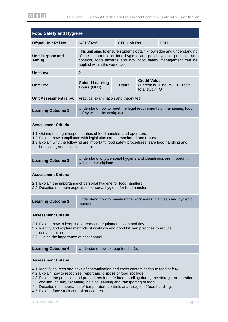| <b>Food Safety and Hygiene</b>                                                                                                                                                                                                                                                                                       |                                                                                                                                                                                                                                            |                                                                                        |                                                                   |            |          |
|----------------------------------------------------------------------------------------------------------------------------------------------------------------------------------------------------------------------------------------------------------------------------------------------------------------------|--------------------------------------------------------------------------------------------------------------------------------------------------------------------------------------------------------------------------------------------|----------------------------------------------------------------------------------------|-------------------------------------------------------------------|------------|----------|
| <b>Ofqual Unit Ref No.</b>                                                                                                                                                                                                                                                                                           | K/615/8295                                                                                                                                                                                                                                 | <b>CTH Unit Ref:</b>                                                                   |                                                                   | <b>FSH</b> |          |
| <b>Unit Purpose and</b><br>Aim(s)                                                                                                                                                                                                                                                                                    | This unit aims to ensure students obtain knowledge and understanding<br>of the importance of food hygiene and good hygienic practices and<br>controls, food hazards and how food safety management can be<br>applied within the workplace. |                                                                                        |                                                                   |            |          |
| <b>Unit Level</b>                                                                                                                                                                                                                                                                                                    | $\overline{2}$                                                                                                                                                                                                                             |                                                                                        |                                                                   |            |          |
| <b>Unit Size</b>                                                                                                                                                                                                                                                                                                     | <b>Guided Learning</b><br>Hours (GLH)                                                                                                                                                                                                      | 11 Hours                                                                               | <b>Credit Value:</b><br>(1 credit is 10 hours<br>total study/TQT) |            | 1 Credit |
| Unit Assessment is by:                                                                                                                                                                                                                                                                                               | Practical examination and theory test.                                                                                                                                                                                                     |                                                                                        |                                                                   |            |          |
| <b>Learning Outcome 1</b>                                                                                                                                                                                                                                                                                            | Understand how to meet the legal requirements of maintaining food<br>safety within the workplace.                                                                                                                                          |                                                                                        |                                                                   |            |          |
| <b>Assessment Criteria</b><br>1.1 Outline the legal responsibilities of food handlers and operators.<br>1.2 Explain how compliance with legislation can be monitored and reported.<br>1.3 Explain why the following are important: food safety procedures, safe food handling and<br>behaviour, and risk assessment. |                                                                                                                                                                                                                                            |                                                                                        |                                                                   |            |          |
| <b>Learning Outcome 2</b>                                                                                                                                                                                                                                                                                            |                                                                                                                                                                                                                                            | Understand why personal hygiene and cleanliness are important<br>within the workplace. |                                                                   |            |          |
| <b>Assessment Criteria</b><br>2.1 Explain the importance of personal hygiene for food handlers.<br>2.2 Describe the main aspects of personal hygiene for food handlers.                                                                                                                                              |                                                                                                                                                                                                                                            |                                                                                        |                                                                   |            |          |
| <b>Learning Outcome 3</b>                                                                                                                                                                                                                                                                                            | Understand how to maintain the work areas in a clean and hygienic<br>manner.                                                                                                                                                               |                                                                                        |                                                                   |            |          |
| <b>Assessment Criteria</b><br>3.1 Explain how to keep work areas and equipment clean and tidy.<br>3.2 Identify and explain methods of workflow and good kitchen practices to reduce<br>contamination.<br>3.3 Outline the importance of pest control.                                                                 |                                                                                                                                                                                                                                            |                                                                                        |                                                                   |            |          |
| <b>Learning Outcome 4</b>                                                                                                                                                                                                                                                                                            | Understand how to keep food safe.                                                                                                                                                                                                          |                                                                                        |                                                                   |            |          |
| <b>Assessment Criteria</b>                                                                                                                                                                                                                                                                                           |                                                                                                                                                                                                                                            |                                                                                        |                                                                   |            |          |

- 4.1 Identify sources and risks of contamination and cross contamination to food safety.
- 4.2 Explain how to recognise, report and dispose of food spoilage.
- 4.3 Explain the practices and procedures for safe food handling during the storage, preparation, cooking, chilling, reheating, holding, serving and transporting of food.
- 4.4 Describe the importance of temperature controls at all stages of food handling.
- 4.5 Explain food stock control procedures.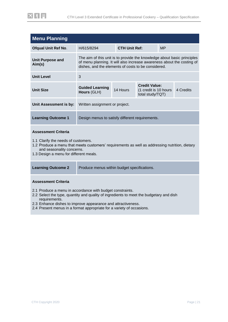| <b>Menu Planning</b>              |                                                                                                                                                                                                          |                      |                                                                   |           |           |
|-----------------------------------|----------------------------------------------------------------------------------------------------------------------------------------------------------------------------------------------------------|----------------------|-------------------------------------------------------------------|-----------|-----------|
| <b>Ofqual Unit Ref No.</b>        | H/615/8294                                                                                                                                                                                               | <b>CTH Unit Ref:</b> |                                                                   | <b>MP</b> |           |
| <b>Unit Purpose and</b><br>Aim(s) | The aim of this unit is to provide the knowledge about basic principles<br>of menu planning. It will also increase awareness about the costing of<br>dishes, and the elements of costs to be considered. |                      |                                                                   |           |           |
| <b>Unit Level</b>                 | 3                                                                                                                                                                                                        |                      |                                                                   |           |           |
| <b>Unit Size</b>                  | <b>Guided Learning</b><br>Hours (GLH)                                                                                                                                                                    | 14 Hours             | <b>Credit Value:</b><br>(1 credit is 10 hours<br>total study/TQT) |           | 4 Credits |
| Unit Assessment is by:            | Written assignment or project.                                                                                                                                                                           |                      |                                                                   |           |           |
| <b>Learning Outcome 1</b>         | Design menus to satisfy different requirements.                                                                                                                                                          |                      |                                                                   |           |           |
|                                   |                                                                                                                                                                                                          |                      |                                                                   |           |           |

#### **Assessment Criteria**

- 1.1 Clarify the needs of customers.
- 1.2 Produce a menu that meets customers' requirements as well as addressing nutrition, dietary and seasonality concerns.
- 1.3 Design a menu for different meals.

| <b>Learning Outcome 2</b> | Produce menus within budget specifications. |
|---------------------------|---------------------------------------------|
|---------------------------|---------------------------------------------|

#### **Assessment Criteria**

- 2.1 Produce a menu in accordance with budget constraints.
- 2.2 Select the type, quantity and quality of ingredients to meet the budgetary and dish requirements.
- 2.3 Enhance dishes to improve appearance and attractiveness.
- 2.4 Present menus in a format appropriate for a variety of occasions.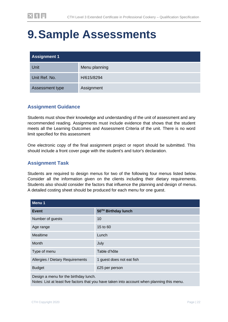# <span id="page-21-0"></span>**9.Sample Assessments**

| <b>Assignment 1</b> |               |  |
|---------------------|---------------|--|
| Unit                | Menu planning |  |
| Unit Ref. No.       | H/615/8294    |  |
| Assessment type     | Assignment    |  |

### **Assignment Guidance**

Students must show their knowledge and understanding of the unit of assessment and any recommended reading. Assignments must include evidence that shows that the student meets all the Learning Outcomes and Assessment Criteria of the unit. There is no word limit specified for this assessment

One electronic copy of the final assignment project or report should be submitted. This should include a front cover page with the student's and tutor's declaration.

### **Assignment Task**

Students are required to design menus for two of the following four menus listed below. Consider all the information given on the clients including their dietary requirements. Students also should consider the factors that influence the planning and design of menus. A detailed costing sheet should be produced for each menu for one guest.

| Menu 1                           |                           |
|----------------------------------|---------------------------|
| Event                            | 50TH Birthday lunch       |
| Number of guests                 | 10                        |
| Age range                        | 15 to 60                  |
| Mealtime                         | Lunch                     |
| <b>Month</b>                     | July                      |
| Type of menu                     | Table d'hôte              |
| Allergies / Dietary Requirements | 1 guest does not eat fish |
| <b>Budget</b>                    | £25 per person            |
|                                  |                           |

Design a menu for the birthday lunch.

Notes: List at least five factors that you have taken into account when planning this menu.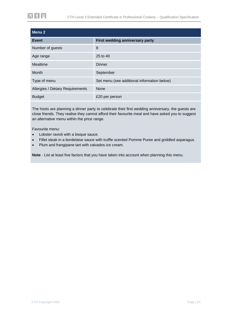| Menu 2                           |                                             |
|----------------------------------|---------------------------------------------|
| Event                            | First wedding anniversary party             |
| Number of guests                 | 8                                           |
| Age range                        | 25 to 40                                    |
| Mealtime                         | <b>Dinner</b>                               |
| Month                            | September                                   |
| Type of menu                     | Set menu (see additional information below) |
| Allergies / Dietary Requirements | <b>None</b>                                 |
| <b>Budget</b>                    | £20 per person                              |

The hosts are planning a dinner party to celebrate their first wedding anniversary, the guests are close friends. They realise they cannot afford their favourite meal and have asked you to suggest an alternative menu within the price range.

Favourite menu:

- Lobster ravioli with a bisque sauce.
- Fillet steak in a bordelaise sauce with truffle scented Pomme Puree and griddled asparagus.
- Plum and frangipane tart with calvados ice cream.

**Note** - List at least five factors that you have taken into account when planning this menu.